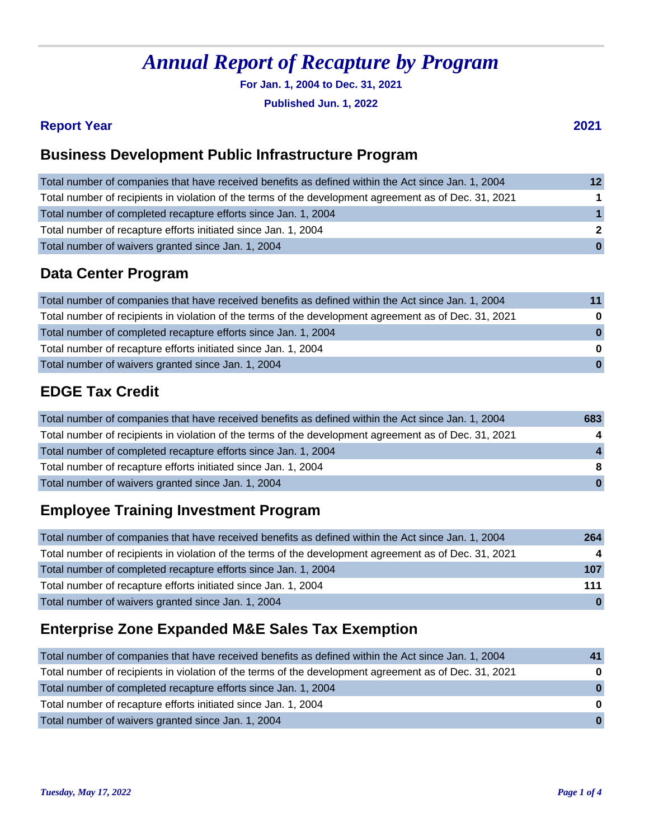**For Jan. 1, 2004 to Dec. 31, 2021**

**Published Jun. 1, 2022**

#### **Report Year 2021**

### **Business Development Public Infrastructure Program**

| Total number of companies that have received benefits as defined within the Act since Jan. 1, 2004    | $12 \overline{ }$    |
|-------------------------------------------------------------------------------------------------------|----------------------|
| Total number of recipients in violation of the terms of the development agreement as of Dec. 31, 2021 | $\blacktriangleleft$ |
| Total number of completed recapture efforts since Jan. 1, 2004                                        | $\blacktriangleleft$ |
| Total number of recapture efforts initiated since Jan. 1, 2004                                        | $\overline{2}$       |
| Total number of waivers granted since Jan. 1, 2004                                                    | $\mathbf{0}$         |

### **Data Center Program**

| Total number of companies that have received benefits as defined within the Act since Jan. 1, 2004    | 11           |
|-------------------------------------------------------------------------------------------------------|--------------|
| Total number of recipients in violation of the terms of the development agreement as of Dec. 31, 2021 | $\bf{0}$     |
| Total number of completed recapture efforts since Jan. 1, 2004                                        | $\bf{0}$     |
| Total number of recapture efforts initiated since Jan. 1, 2004                                        | $\bf{0}$     |
| Total number of waivers granted since Jan. 1, 2004                                                    | $\mathbf{0}$ |
|                                                                                                       |              |

### **EDGE Tax Credit**

| Total number of companies that have received benefits as defined within the Act since Jan. 1, 2004    | 683          |
|-------------------------------------------------------------------------------------------------------|--------------|
| Total number of recipients in violation of the terms of the development agreement as of Dec. 31, 2021 | 4            |
| Total number of completed recapture efforts since Jan. 1, 2004                                        | $\mathbf{A}$ |
| Total number of recapture efforts initiated since Jan. 1, 2004                                        | 8            |
| Total number of waivers granted since Jan. 1, 2004                                                    | $\mathbf{0}$ |

### **Employee Training Investment Program**

| Total number of companies that have received benefits as defined within the Act since Jan. 1, 2004    | 264          |
|-------------------------------------------------------------------------------------------------------|--------------|
| Total number of recipients in violation of the terms of the development agreement as of Dec. 31, 2021 | 4            |
| Total number of completed recapture efforts since Jan. 1, 2004                                        | 107          |
| Total number of recapture efforts initiated since Jan. 1, 2004                                        | 111          |
| Total number of waivers granted since Jan. 1, 2004                                                    | $\mathbf{0}$ |

### **Enterprise Zone Expanded M&E Sales Tax Exemption**

| Total number of companies that have received benefits as defined within the Act since Jan. 1, 2004    | 41           |
|-------------------------------------------------------------------------------------------------------|--------------|
| Total number of recipients in violation of the terms of the development agreement as of Dec. 31, 2021 | $\bf{0}$     |
| Total number of completed recapture efforts since Jan. 1, 2004                                        | $\bf{0}$     |
| Total number of recapture efforts initiated since Jan. 1, 2004                                        | $\mathbf{0}$ |
| Total number of waivers granted since Jan. 1, 2004                                                    | $\mathbf{0}$ |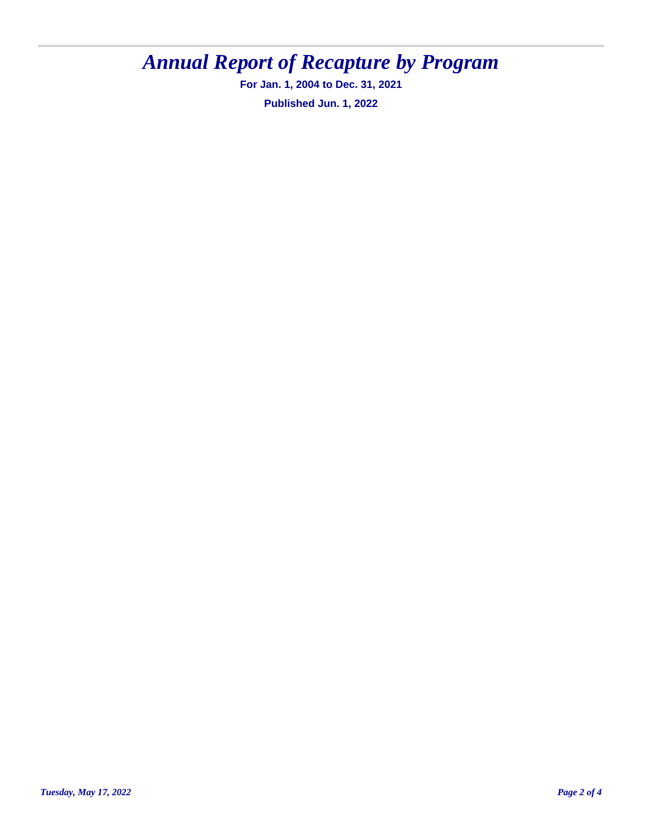**For Jan. 1, 2004 to Dec. 31, 2021 Published Jun. 1, 2022**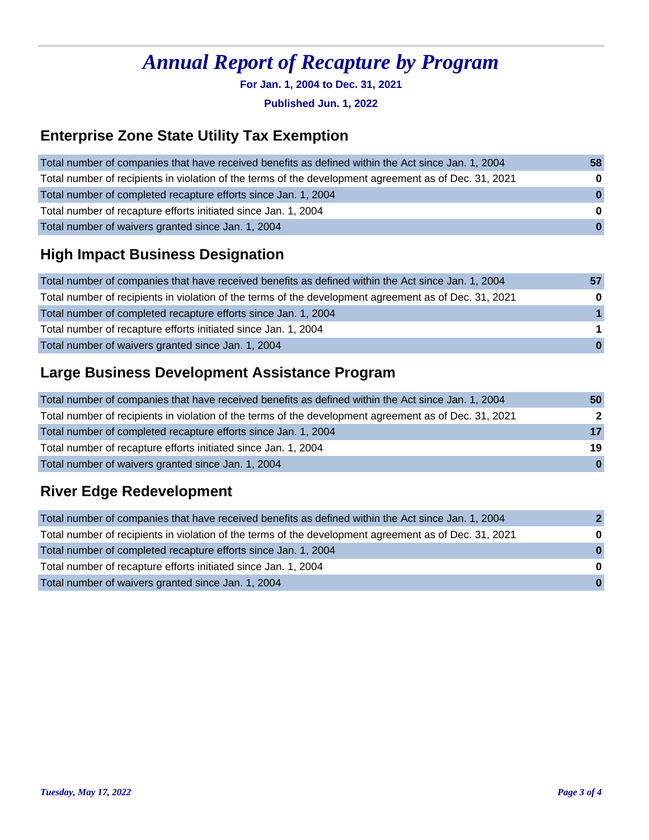**For Jan. 1, 2004 to Dec. 31, 2021**

**Published Jun. 1, 2022**

### **Enterprise Zone State Utility Tax Exemption**

| Total number of companies that have received benefits as defined within the Act since Jan. 1, 2004    | 58           |
|-------------------------------------------------------------------------------------------------------|--------------|
| Total number of recipients in violation of the terms of the development agreement as of Dec. 31, 2021 | $\bf{0}$     |
| Total number of completed recapture efforts since Jan. 1, 2004                                        | $\bf{0}$     |
| Total number of recapture efforts initiated since Jan. 1, 2004                                        | $\bf{0}$     |
| Total number of waivers granted since Jan. 1, 2004                                                    | $\mathbf{0}$ |

### **High Impact Business Designation**

| Total number of companies that have received benefits as defined within the Act since Jan. 1, 2004    |              |
|-------------------------------------------------------------------------------------------------------|--------------|
| Total number of recipients in violation of the terms of the development agreement as of Dec. 31, 2021 | $\bf{0}$     |
| Total number of completed recapture efforts since Jan. 1, 2004                                        |              |
| Total number of recapture efforts initiated since Jan. 1, 2004                                        |              |
| Total number of waivers granted since Jan. 1, 2004                                                    | $\mathbf{0}$ |

### **Large Business Development Assistance Program**

| Total number of companies that have received benefits as defined within the Act since Jan. 1, 2004    | 50           |
|-------------------------------------------------------------------------------------------------------|--------------|
| Total number of recipients in violation of the terms of the development agreement as of Dec. 31, 2021 | $\mathbf{2}$ |
| Total number of completed recapture efforts since Jan. 1, 2004                                        | 17           |
| Total number of recapture efforts initiated since Jan. 1, 2004                                        | 19           |
| Total number of waivers granted since Jan. 1, 2004                                                    | $\mathbf{0}$ |

### **River Edge Redevelopment**

| Total number of companies that have received benefits as defined within the Act since Jan. 1, 2004    | $\mathbf{p}$ |
|-------------------------------------------------------------------------------------------------------|--------------|
| Total number of recipients in violation of the terms of the development agreement as of Dec. 31, 2021 | $\bf{0}$     |
| Total number of completed recapture efforts since Jan. 1, 2004                                        | $\Omega$     |
| Total number of recapture efforts initiated since Jan. 1, 2004                                        | $\Omega$     |
| Total number of waivers granted since Jan. 1, 2004                                                    | $\Omega$     |